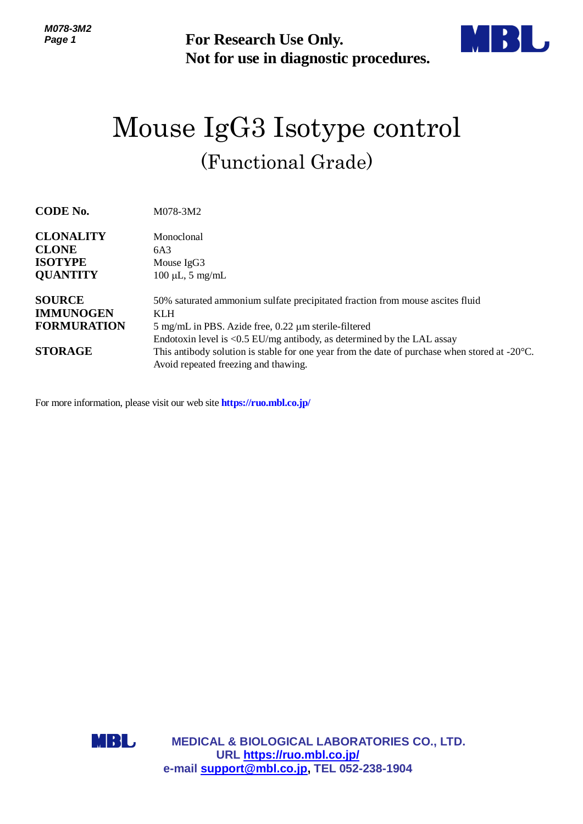

## Mouse IgG3 Isotype control (Functional Grade)

| ///v/UWIZ<br>Page 1                                                       | For Research Use Only.<br>Not for use in diagnostic procedures.                                                                                                                                                                                                                                                                                                                  |
|---------------------------------------------------------------------------|----------------------------------------------------------------------------------------------------------------------------------------------------------------------------------------------------------------------------------------------------------------------------------------------------------------------------------------------------------------------------------|
|                                                                           | Mouse IgG3 Isotype control                                                                                                                                                                                                                                                                                                                                                       |
| (Functional Grade)                                                        |                                                                                                                                                                                                                                                                                                                                                                                  |
| <b>CODE No.</b>                                                           | M078-3M2                                                                                                                                                                                                                                                                                                                                                                         |
| <b>CLONALITY</b><br><b>CLONE</b><br><b>ISOTYPE</b><br><b>QUANTITY</b>     | Monoclonal<br>6A3<br>Mouse IgG3<br>$100 \mu L$ , 5 mg/mL                                                                                                                                                                                                                                                                                                                         |
| <b>SOURCE</b><br><b>IMMUNOGEN</b><br><b>FORMURATION</b><br><b>STORAGE</b> | 50% saturated ammonium sulfate precipitated fraction from mouse ascites fluid<br><b>KLH</b><br>5 mg/mL in PBS. Azide free, 0.22 µm sterile-filtered<br>Endotoxin level is <0.5 EU/mg antibody, as determined by the LAL assay<br>This antibody solution is stable for one year from the date of purchase when stored at $-20^{\circ}$ C.<br>Avoid repeated freezing and thawing. |
|                                                                           | For more information, please visit our web site https://ruo.mbl.co.jp/                                                                                                                                                                                                                                                                                                           |
| MBL                                                                       | <b>MEDICAL &amp; BIOLOGICAL LABORATORIES CO., LTD.</b><br>URL https://ruo.mbl.co.jp/<br>e-mail support@mbl.co.jp, TEL 052-238-1904                                                                                                                                                                                                                                               |